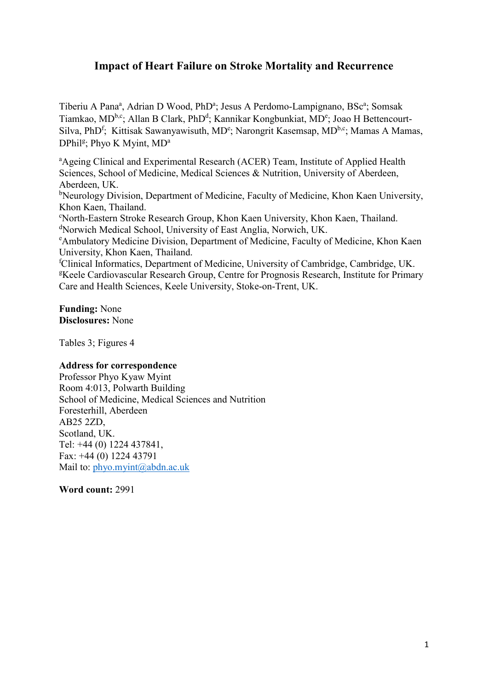# **Impact of Heart Failure on Stroke Mortality and Recurrence**

Tiberiu A Pana<sup>a</sup>, Adrian D Wood, PhD<sup>a</sup>; Jesus A Perdomo-Lampignano, BSc<sup>a</sup>; Somsak Tiamkao, MD<sup>b,c</sup>; Allan B Clark, PhD<sup>d</sup>; Kannikar Kongbunkiat, MD<sup>e</sup>; Joao H Bettencourt-Silva, PhD<sup>f</sup>; Kittisak Sawanyawisuth, MD<sup>e</sup>; Narongrit Kasemsap, MD<sup>b,c</sup>; Mamas A Mamas, DPhil<sup>g</sup>; Phyo K Myint, MD<sup>a</sup>

<sup>a</sup>Ageing Clinical and Experimental Research (ACER) Team, Institute of Applied Health Sciences, School of Medicine, Medical Sciences & Nutrition, University of Aberdeen, Aberdeen, UK.

<sup>b</sup>Neurology Division, Department of Medicine, Faculty of Medicine, Khon Kaen University, Khon Kaen, Thailand.

c North-Eastern Stroke Research Group, Khon Kaen University, Khon Kaen, Thailand. d Norwich Medical School, University of East Anglia, Norwich, UK.

<sup>e</sup> Ambulatory Medicine Division, Department of Medicine, Faculty of Medicine, Khon Kaen University, Khon Kaen, Thailand.

f Clinical Informatics, Department of Medicine, University of Cambridge, Cambridge, UK. <sup>g</sup>Keele Cardiovascular Research Group, Centre for Prognosis Research, Institute for Primary Care and Health Sciences, Keele University, Stoke-on-Trent, UK.

**Funding:** None **Disclosures:** None

Tables 3; Figures 4

# **Address for correspondence**

Professor Phyo Kyaw Myint Room 4:013, Polwarth Building School of Medicine, Medical Sciences and Nutrition Foresterhill, Aberdeen AB25 2ZD, Scotland, UK. Tel: +44 (0) 1224 437841, Fax: +44 (0) 1224 43791 Mail to: [phyo.myint@abdn.ac.uk](mailto:phyo.myint@abdn.ac.uk)

**Word count:** 2991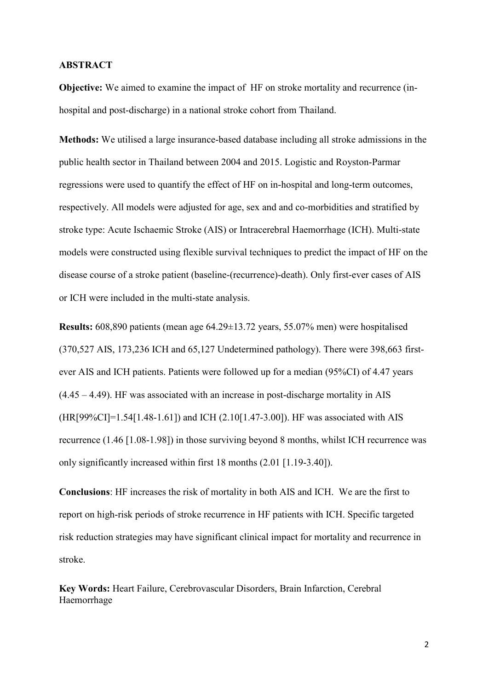#### **ABSTRACT**

**Objective:** We aimed to examine the impact of HF on stroke mortality and recurrence (inhospital and post-discharge) in a national stroke cohort from Thailand.

**Methods:** We utilised a large insurance-based database including all stroke admissions in the public health sector in Thailand between 2004 and 2015. Logistic and Royston-Parmar regressions were used to quantify the effect of HF on in-hospital and long-term outcomes, respectively. All models were adjusted for age, sex and and co-morbidities and stratified by stroke type: Acute Ischaemic Stroke (AIS) or Intracerebral Haemorrhage (ICH). Multi-state models were constructed using flexible survival techniques to predict the impact of HF on the disease course of a stroke patient (baseline-(recurrence)-death). Only first-ever cases of AIS or ICH were included in the multi-state analysis.

**Results:** 608,890 patients (mean age 64.29±13.72 years, 55.07% men) were hospitalised (370,527 AIS, 173,236 ICH and 65,127 Undetermined pathology). There were 398,663 firstever AIS and ICH patients. Patients were followed up for a median (95%CI) of 4.47 years (4.45 – 4.49). HF was associated with an increase in post-discharge mortality in AIS (HR[99%CI]=1.54[1.48-1.61]) and ICH (2.10[1.47-3.00]). HF was associated with AIS recurrence (1.46 [1.08-1.98]) in those surviving beyond 8 months, whilst ICH recurrence was only significantly increased within first 18 months (2.01 [1.19-3.40]).

**Conclusions**: HF increases the risk of mortality in both AIS and ICH. We are the first to report on high-risk periods of stroke recurrence in HF patients with ICH. Specific targeted risk reduction strategies may have significant clinical impact for mortality and recurrence in stroke.

**Key Words:** Heart Failure, Cerebrovascular Disorders, Brain Infarction, Cerebral Haemorrhage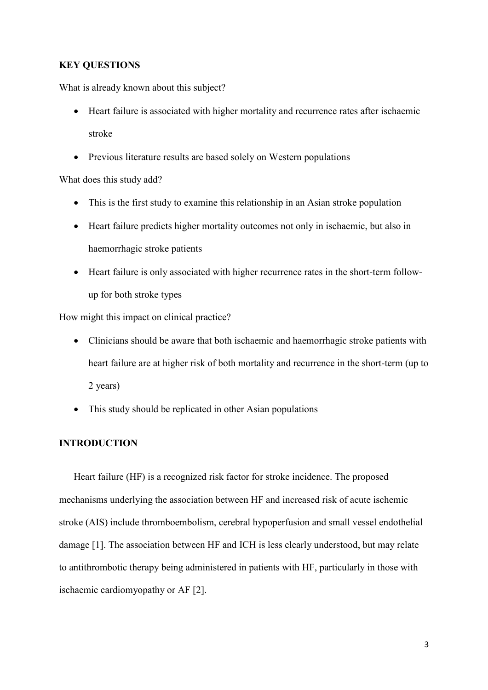#### **KEY QUESTIONS**

What is already known about this subject?

- Heart failure is associated with higher mortality and recurrence rates after ischaemic stroke
- Previous literature results are based solely on Western populations

What does this study add?

- This is the first study to examine this relationship in an Asian stroke population
- Heart failure predicts higher mortality outcomes not only in ischaemic, but also in haemorrhagic stroke patients
- Heart failure is only associated with higher recurrence rates in the short-term followup for both stroke types

How might this impact on clinical practice?

- Clinicians should be aware that both ischaemic and haemorrhagic stroke patients with heart failure are at higher risk of both mortality and recurrence in the short-term (up to 2 years)
- This study should be replicated in other Asian populations

# **INTRODUCTION**

Heart failure (HF) is a recognized risk factor for stroke incidence. The proposed mechanisms underlying the association between HF and increased risk of acute ischemic stroke (AIS) include thromboembolism, cerebral hypoperfusion and small vessel endothelial damage [1]. The association between HF and ICH is less clearly understood, but may relate to antithrombotic therapy being administered in patients with HF, particularly in those with ischaemic cardiomyopathy or AF [2].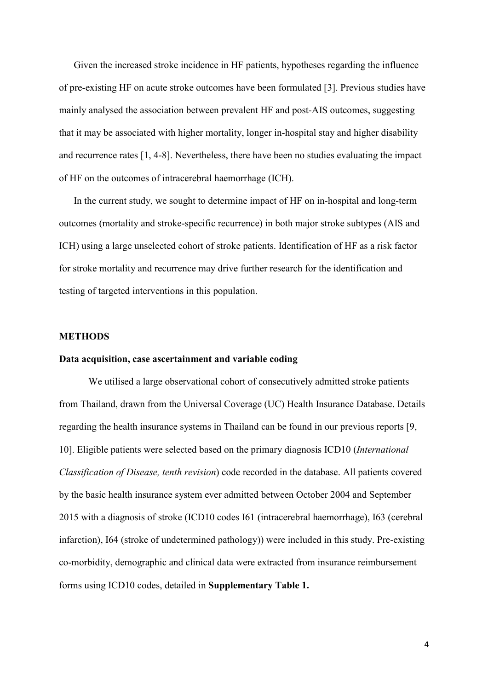Given the increased stroke incidence in HF patients, hypotheses regarding the influence of pre-existing HF on acute stroke outcomes have been formulated [3]. Previous studies have mainly analysed the association between prevalent HF and post-AIS outcomes, suggesting that it may be associated with higher mortality, longer in-hospital stay and higher disability and recurrence rates [1, 4-8]. Nevertheless, there have been no studies evaluating the impact of HF on the outcomes of intracerebral haemorrhage (ICH).

In the current study, we sought to determine impact of HF on in-hospital and long-term outcomes (mortality and stroke-specific recurrence) in both major stroke subtypes (AIS and ICH) using a large unselected cohort of stroke patients. Identification of HF as a risk factor for stroke mortality and recurrence may drive further research for the identification and testing of targeted interventions in this population.

#### **METHODS**

#### **Data acquisition, case ascertainment and variable coding**

We utilised a large observational cohort of consecutively admitted stroke patients from Thailand, drawn from the Universal Coverage (UC) Health Insurance Database. Details regarding the health insurance systems in Thailand can be found in our previous reports [9, 10]. Eligible patients were selected based on the primary diagnosis ICD10 (*International Classification of Disease, tenth revision*) code recorded in the database. All patients covered by the basic health insurance system ever admitted between October 2004 and September 2015 with a diagnosis of stroke (ICD10 codes I61 (intracerebral haemorrhage), I63 (cerebral infarction), I64 (stroke of undetermined pathology)) were included in this study. Pre-existing co-morbidity, demographic and clinical data were extracted from insurance reimbursement forms using ICD10 codes, detailed in **Supplementary Table 1.**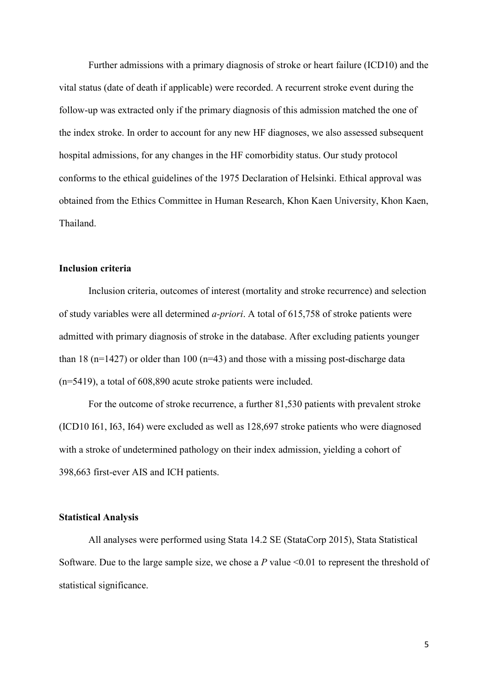Further admissions with a primary diagnosis of stroke or heart failure (ICD10) and the vital status (date of death if applicable) were recorded. A recurrent stroke event during the follow-up was extracted only if the primary diagnosis of this admission matched the one of the index stroke. In order to account for any new HF diagnoses, we also assessed subsequent hospital admissions, for any changes in the HF comorbidity status. Our study protocol conforms to the ethical guidelines of the 1975 Declaration of Helsinki. Ethical approval was obtained from the Ethics Committee in Human Research, Khon Kaen University, Khon Kaen, Thailand.

## **Inclusion criteria**

Inclusion criteria, outcomes of interest (mortality and stroke recurrence) and selection of study variables were all determined *a-priori*. A total of 615,758 of stroke patients were admitted with primary diagnosis of stroke in the database. After excluding patients younger than 18 ( $n=1427$ ) or older than 100 ( $n=43$ ) and those with a missing post-discharge data (n=5419), a total of 608,890 acute stroke patients were included.

For the outcome of stroke recurrence, a further 81,530 patients with prevalent stroke (ICD10 I61, I63, I64) were excluded as well as 128,697 stroke patients who were diagnosed with a stroke of undetermined pathology on their index admission, yielding a cohort of 398,663 first-ever AIS and ICH patients.

## **Statistical Analysis**

All analyses were performed using Stata 14.2 SE (StataCorp 2015), Stata Statistical Software. Due to the large sample size, we chose a *P* value <0.01 to represent the threshold of statistical significance.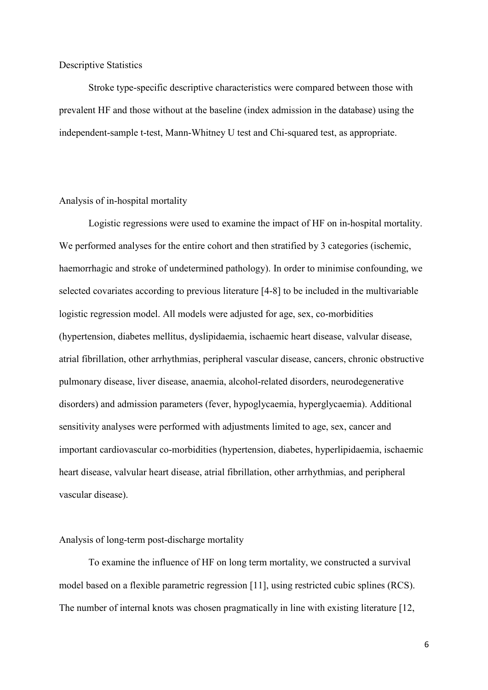#### Descriptive Statistics

Stroke type-specific descriptive characteristics were compared between those with prevalent HF and those without at the baseline (index admission in the database) using the independent-sample t-test, Mann-Whitney U test and Chi-squared test, as appropriate.

## Analysis of in-hospital mortality

Logistic regressions were used to examine the impact of HF on in-hospital mortality. We performed analyses for the entire cohort and then stratified by 3 categories (ischemic, haemorrhagic and stroke of undetermined pathology). In order to minimise confounding, we selected covariates according to previous literature [4-8] to be included in the multivariable logistic regression model. All models were adjusted for age, sex, co-morbidities (hypertension, diabetes mellitus, dyslipidaemia, ischaemic heart disease, valvular disease, atrial fibrillation, other arrhythmias, peripheral vascular disease, cancers, chronic obstructive pulmonary disease, liver disease, anaemia, alcohol-related disorders, neurodegenerative disorders) and admission parameters (fever, hypoglycaemia, hyperglycaemia). Additional sensitivity analyses were performed with adjustments limited to age, sex, cancer and important cardiovascular co-morbidities (hypertension, diabetes, hyperlipidaemia, ischaemic heart disease, valvular heart disease, atrial fibrillation, other arrhythmias, and peripheral vascular disease).

#### Analysis of long-term post-discharge mortality

To examine the influence of HF on long term mortality, we constructed a survival model based on a flexible parametric regression [11], using restricted cubic splines (RCS). The number of internal knots was chosen pragmatically in line with existing literature [12,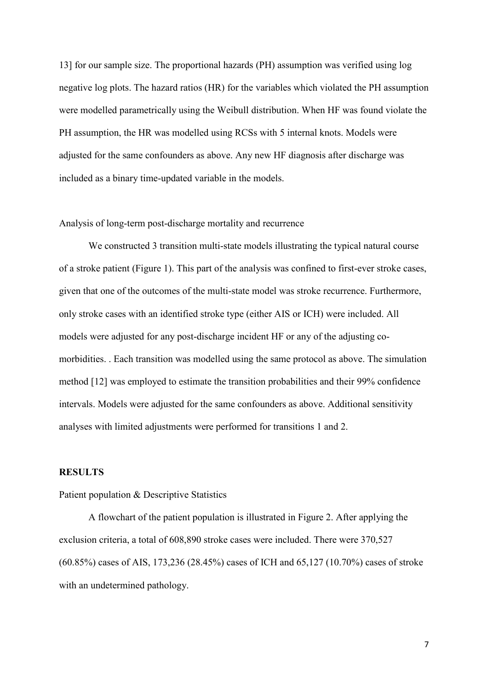13] for our sample size. The proportional hazards (PH) assumption was verified using log negative log plots. The hazard ratios (HR) for the variables which violated the PH assumption were modelled parametrically using the Weibull distribution. When HF was found violate the PH assumption, the HR was modelled using RCSs with 5 internal knots. Models were adjusted for the same confounders as above. Any new HF diagnosis after discharge was included as a binary time-updated variable in the models.

#### Analysis of long-term post-discharge mortality and recurrence

We constructed 3 transition multi-state models illustrating the typical natural course of a stroke patient (Figure 1). This part of the analysis was confined to first-ever stroke cases, given that one of the outcomes of the multi-state model was stroke recurrence. Furthermore, only stroke cases with an identified stroke type (either AIS or ICH) were included. All models were adjusted for any post-discharge incident HF or any of the adjusting comorbidities. . Each transition was modelled using the same protocol as above. The simulation method [12] was employed to estimate the transition probabilities and their 99% confidence intervals. Models were adjusted for the same confounders as above. Additional sensitivity analyses with limited adjustments were performed for transitions 1 and 2.

# **RESULTS**

#### Patient population & Descriptive Statistics

A flowchart of the patient population is illustrated in Figure 2. After applying the exclusion criteria, a total of 608,890 stroke cases were included. There were 370,527 (60.85%) cases of AIS, 173,236 (28.45%) cases of ICH and 65,127 (10.70%) cases of stroke with an undetermined pathology.

7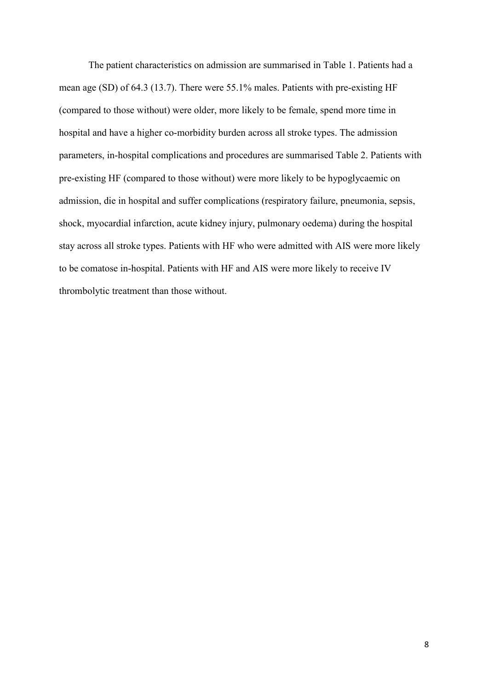The patient characteristics on admission are summarised in Table 1. Patients had a mean age (SD) of 64.3 (13.7). There were 55.1% males. Patients with pre-existing HF (compared to those without) were older, more likely to be female, spend more time in hospital and have a higher co-morbidity burden across all stroke types. The admission parameters, in-hospital complications and procedures are summarised Table 2. Patients with pre-existing HF (compared to those without) were more likely to be hypoglycaemic on admission, die in hospital and suffer complications (respiratory failure, pneumonia, sepsis, shock, myocardial infarction, acute kidney injury, pulmonary oedema) during the hospital stay across all stroke types. Patients with HF who were admitted with AIS were more likely to be comatose in-hospital. Patients with HF and AIS were more likely to receive IV thrombolytic treatment than those without.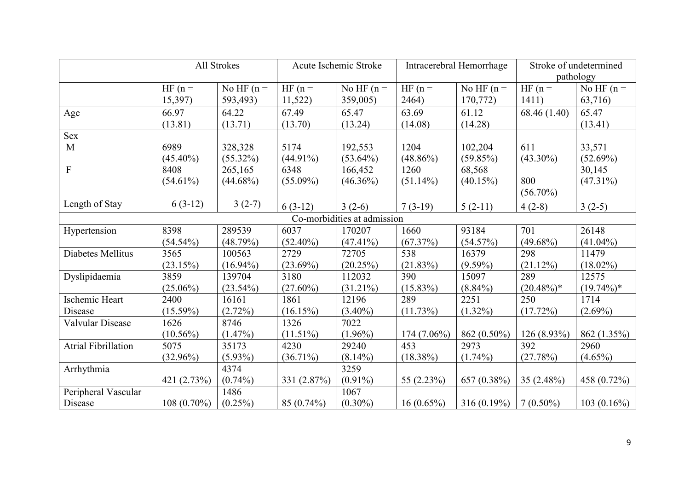|                            |               | All Strokes  | Acute Ischemic Stroke |                             | Intracerebral Hemorrhage |               | Stroke of undetermined |               |
|----------------------------|---------------|--------------|-----------------------|-----------------------------|--------------------------|---------------|------------------------|---------------|
|                            |               |              |                       |                             |                          |               |                        | pathology     |
|                            | $HF(n =$      | No HF $(n =$ | $HF(n =$              | No HF $(n =$                | $HF(n =$                 | No HF $(n =$  | $HF(n =$               | No HF $(n =$  |
|                            | 15,397)       | 593,493)     | 11,522)               | 359,005)                    | 2464)                    | 170,772)      | 1411)                  | 63,716)       |
| Age                        | 66.97         | 64.22        | 67.49                 | 65.47                       | 63.69                    | 61.12         | 68.46 (1.40)           | 65.47         |
|                            | (13.81)       | (13.71)      | (13.70)               | (13.24)                     | (14.08)                  | (14.28)       |                        | (13.41)       |
| Sex                        |               |              |                       |                             |                          |               |                        |               |
| M                          | 6989          | 328,328      | 5174                  | 192,553                     | 1204                     | 102,204       | 611                    | 33,571        |
|                            | $(45.40\%)$   | $(55.32\%)$  | $(44.91\%)$           | $(53.64\%)$                 | $(48.86\%)$              | (59.85%)      | $(43.30\%)$            | (52.69%)      |
| ${\bf F}$                  | 8408          | 265,165      | 6348                  | 166,452                     | 1260                     | 68,568        |                        | 30,145        |
|                            | $(54.61\%)$   | $(44.68\%)$  | $(55.09\%)$           | $(46.36\%)$                 | $(51.14\%)$              | (40.15%)      | 800                    | $(47.31\%)$   |
|                            |               |              |                       |                             |                          |               | $(56.70\%)$            |               |
| Length of Stay             | $6(3-12)$     | $3(2-7)$     | $6(3-12)$             | $3(2-6)$                    | $7(3-19)$                | $5(2-11)$     | $4(2-8)$               | $3(2-5)$      |
|                            |               |              |                       | Co-morbidities at admission |                          |               |                        |               |
| Hypertension               | 8398          | 289539       | 6037                  | 170207                      | 1660                     | 93184         | 701                    | 26148         |
|                            | $(54.54\%)$   | (48.79%)     | $(52.40\%)$           | $(47.41\%)$                 | (67.37%)                 | (54.57%)      | $(49.68\%)$            | $(41.04\%)$   |
| Diabetes Mellitus          | 3565          | 100563       | 2729                  | 72705                       | 538                      | 16379         | 298                    | 11479         |
|                            | (23.15%)      | $(16.94\%)$  | $(23.69\%)$           | (20.25%)                    | (21.83%)                 | $(9.59\%)$    | (21.12%)               | $(18.02\%)$   |
| Dyslipidaemia              | 3859          | 139704       | 3180                  | 112032                      | 390                      | 15097         | 289                    | 12575         |
|                            | $(25.06\%)$   | $(23.54\%)$  | $(27.60\%)$           | $(31.21\%)$                 | $(15.83\%)$              | $(8.84\%)$    | $(20.48\%)*$           | $(19.74\%)*$  |
| Ischemic Heart             | 2400          | 16161        | 1861                  | 12196                       | 289                      | 2251          | 250                    | 1714          |
| Disease                    | $(15.59\%)$   | $(2.72\%)$   | (16.15%)              | $(3.40\%)$                  | $(11.73\%)$              | $(1.32\%)$    | (17.72%)               | $(2.69\%)$    |
| Valvular Disease           | 1626          | 8746         | 1326                  | 7022                        |                          |               |                        |               |
|                            | $(10.56\%)$   | (1.47%)      | $(11.51\%)$           | $(1.96\%)$                  | $174(7.06\%)$            | 862 (0.50%)   | 126 (8.93%)            | 862 (1.35%)   |
| <b>Atrial Fibrillation</b> | 5075          | 35173        | 4230                  | 29240                       | 453                      | 2973          | 392                    | 2960          |
|                            | $(32.96\%)$   | $(5.93\%)$   | $(36.71\%)$           | $(8.14\%)$                  | $(18.38\%)$              | $(1.74\%)$    | (27.78%)               | $(4.65\%)$    |
| Arrhythmia                 |               | 4374         |                       | 3259                        |                          |               |                        |               |
|                            | 421 (2.73%)   | $(0.74\%)$   | 331 (2.87%)           | $(0.91\%)$                  | 55 (2.23%)               | 657 (0.38%)   | 35 $(2.48\%)$          | 458 (0.72%)   |
| Peripheral Vascular        |               | 1486         |                       | 1067                        |                          |               |                        |               |
| Disease                    | $108(0.70\%)$ | $(0.25\%)$   | 85 (0.74%)            | $(0.30\%)$                  | $16(0.65\%)$             | $316(0.19\%)$ | $7(0.50\%)$            | $103(0.16\%)$ |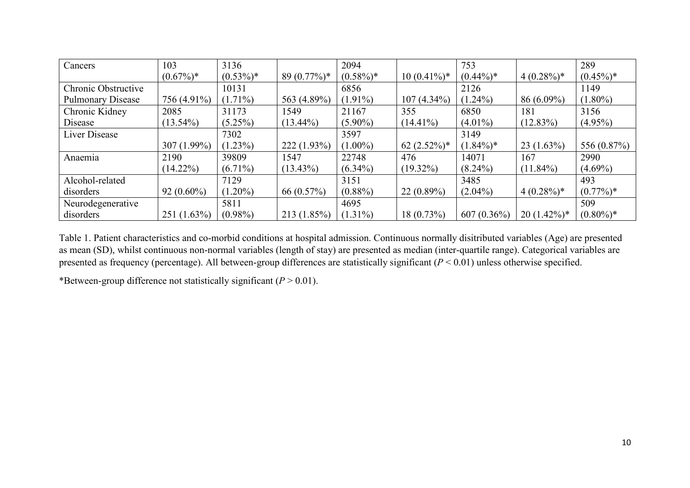| Cancers                  | 103           | 3136        |               | 2094        |                  | 753               |               | 289         |
|--------------------------|---------------|-------------|---------------|-------------|------------------|-------------------|---------------|-------------|
|                          | $(0.67\%)*$   | $(0.53\%)*$ | $89(0.77\%)*$ | $(0.58\%)*$ | $10(0.41\%)*$    | $(0.44\%)*$       | $4(0.28\%)*$  | $(0.45\%)*$ |
| Chronic Obstructive      |               | 10131       |               | 6856        |                  | 2126              |               | 1149        |
| <b>Pulmonary Disease</b> | 756 (4.91%)   | $(1.71\%)$  | 563 (4.89%)   | $(1.91\%)$  | $(4.34\%)$<br>07 | $(1.24\%)$        | $86(6.09\%)$  | $(1.80\%)$  |
| Chronic Kidney           | 2085          | 31173       | 1549          | 21167       | 355              | 6850              | 181           | 3156        |
| Disease                  | $13.54\%$     | $(5.25\%)$  | $(13.44\%)$   | $(5.90\%)$  | $(14.41\%)$      | $(4.01\%)$        | $(12.83\%)$   | $(4.95\%)$  |
| Liver Disease            |               | 7302        |               | 3597        |                  | 3149              |               |             |
|                          | $307(1.99\%)$ | $(1.23\%)$  | 222(1.93%)    | $(1.00\%)$  | $62 (2.52\%)*$   | $(1.84\%)*$       | $23(1.63\%)$  | 556 (0.87%) |
| Anaemia                  | 2190          | 39809       | 1547          | 22748       | 476              | 14071             | 167           | 2990        |
|                          | $(14.22\%)$   | $(6.71\%)$  | $(13.43\%)$   | $(6.34\%)$  | $(19.32\%)$      | $(8.24\%)$        | $(11.84\%)$   | $(4.69\%)$  |
| Alcohol-related          |               | 7129        |               | 3151        |                  | 3485              |               | 493         |
| disorders                | $92(0.60\%)$  | $(1.20\%)$  | 66 $(0.57\%)$ | $(0.88\%)$  | 22(0.89%)        | $(2.04\%)$        | $4(0.28\%)*$  | $(0.77\%)*$ |
| Neurodegenerative        |               | 5811        |               | 4695        |                  |                   |               | 509         |
| disorders                | 251 (1.63%)   | $(0.98\%)$  | 213(1.85%)    | $(1.31\%)$  | 18 (0.73%)       | 607<br>$(0.36\%)$ | $20(1.42\%)*$ | $(0.80\%)*$ |

Table 1. Patient characteristics and co-morbid conditions at hospital admission. Continuous normally disitributed variables (Age) are presented as mean (SD), whilst continuous non-normal variables (length of stay) are presented as median (inter-quartile range). Categorical variables are presented as frequency (percentage). All between-group differences are statistically significant (*P* < 0.01) unless otherwise specified.

\*Between-group difference not statistically significant  $(P > 0.01)$ .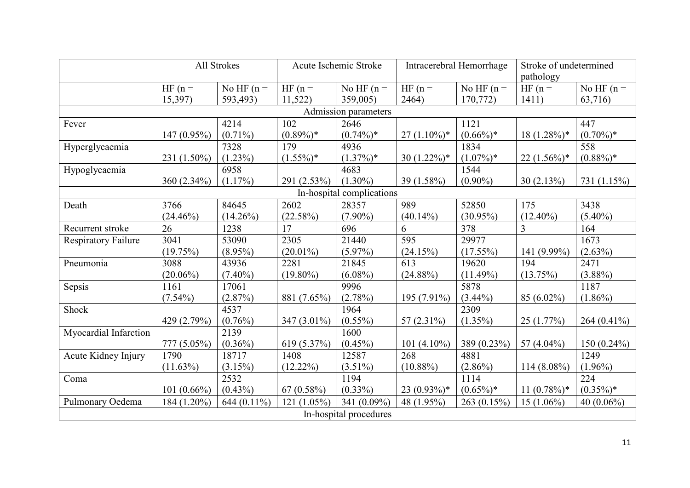|                            |                | All Strokes   | Acute Ischemic Stroke |                           | Intracerebral Hemorrhage |              | Stroke of undetermined<br>pathology |                |
|----------------------------|----------------|---------------|-----------------------|---------------------------|--------------------------|--------------|-------------------------------------|----------------|
|                            | $HF(n =$       | No HF $(n =$  | $HF(n =$              | No HF $(n =$              | $HF(n =$                 | No HF $(n =$ | $HF(n =$                            | No HF $(n =$   |
|                            | 15,397)        | 593,493)      | 11,522                | 359,005)                  | 2464)                    | 170,772)     | 1411)                               | 63,716)        |
|                            |                |               |                       | Admission parameters      |                          |              |                                     |                |
| Fever                      |                | 4214          | 102                   | 2646                      |                          | 1121         |                                     | 447            |
|                            | 147 (0.95%)    | $(0.71\%)$    | $(0.89\%)*$           | $(0.74\%)*$               | $27(1.10\%)*$            | $(0.66\%)*$  | $18(1.28\%)*$                       | $(0.70\%)*$    |
| Hyperglycaemia             |                | 7328          | 179                   | 4936                      |                          | 1834         |                                     | 558            |
|                            | 231 (1.50%)    | $(1.23\%)$    | $(1.55\%)*$           | $(1.37\%)*$               | 30 $(1.22\%)^*$          | $(1.07\%)*$  | $22(1.56\%)*$                       | $(0.88\%)*$    |
| Hypoglycaemia              |                | 6958          |                       | 4683                      |                          | 1544         |                                     |                |
|                            | 360 (2.34%)    | $(1.17\%)$    | 291 (2.53%)           | $(1.30\%)$                | 39 (1.58%)               | $(0.90\%)$   | 30(2.13%)                           | 731 (1.15%)    |
|                            |                |               |                       | In-hospital complications |                          |              |                                     |                |
| Death                      | 3766           | 84645         | 2602                  | 28357                     | 989                      | 52850        | 175                                 | 3438           |
|                            | $(24.46\%)$    | $(14.26\%)$   | (22.58%)              | $(7.90\%)$                | $(40.14\%)$              | $(30.95\%)$  | $(12.40\%)$                         | $(5.40\%)$     |
| Recurrent stroke           | 26             | 1238          | 17                    | 696                       | 6                        | 378          | $\overline{3}$                      | 164            |
| <b>Respiratory Failure</b> | 3041           | 53090         | 2305                  | 21440                     | 595                      | 29977        |                                     | 1673           |
|                            | (19.75%)       | $(8.95\%)$    | $(20.01\%)$           | $(5.97\%)$                | (24.15%)                 | $(17.55\%)$  | 141 (9.99%)                         | $(2.63\%)$     |
| Pneumonia                  | 3088           | 43936         | 2281                  | 21845                     | 613                      | 19620        | 194                                 | 2471           |
|                            | $(20.06\%)$    | $(7.40\%)$    | $(19.80\%)$           | $(6.08\%)$                | $(24.88\%)$              | (11.49%)     | (13.75%)                            | $(3.88\%)$     |
| Sepsis                     | 1161           | 17061         |                       | 9996                      |                          | 5878         |                                     | 1187           |
|                            | $(7.54\%)$     | (2.87%)       | 881 (7.65%)           | (2.78%)                   | 195 (7.91%)              | $(3.44\%)$   | 85 (6.02%)                          | $(1.86\%)$     |
| Shock                      |                | 4537          |                       | 1964                      |                          | 2309         |                                     |                |
|                            | 429 (2.79%)    | $(0.76\%)$    | 347 (3.01%)           | $(0.55\%)$                | 57 $(2.31\%)$            | $(1.35\%)$   | 25(1.77%)                           | 264 $(0.41\%)$ |
| Myocardial Infarction      |                | 2139          |                       | 1600                      |                          |              |                                     |                |
|                            | 777 (5.05%)    | $(0.36\%)$    | 619 (5.37%)           | $(0.45\%)$                | 101 $(4.10\%)$           | 389 (0.23%)  | 57 (4.04%)                          | $150(0.24\%)$  |
| Acute Kidney Injury        | 1790           | 18717         | 1408                  | 12587                     | 268                      | 4881         |                                     | 1249           |
|                            | $(11.63\%)$    | (3.15%)       | $(12.22\%)$           | $(3.51\%)$                | $(10.88\%)$              | $(2.86\%)$   | $114(8.08\%)$                       | $(1.96\%)$     |
| Coma                       |                | 2532          |                       | 1194                      |                          | 1114         |                                     | 224            |
|                            | 101 $(0.66\%)$ | $(0.43\%)$    | 67(0.58%)             | $(0.33\%)$                | $23(0.93\%)*$            | $(0.65\%)*$  | $11(0.78\%)*$                       | $(0.35\%)*$    |
| Pulmonary Oedema           | 184 (1.20%)    | $644(0.11\%)$ | $121(1.05\%)$         | 341 (0.09%)               | 48 (1.95%)               | 263 (0.15%)  | $15(1.06\%)$                        | 40 $(0.06\%)$  |
| In-hospital procedures     |                |               |                       |                           |                          |              |                                     |                |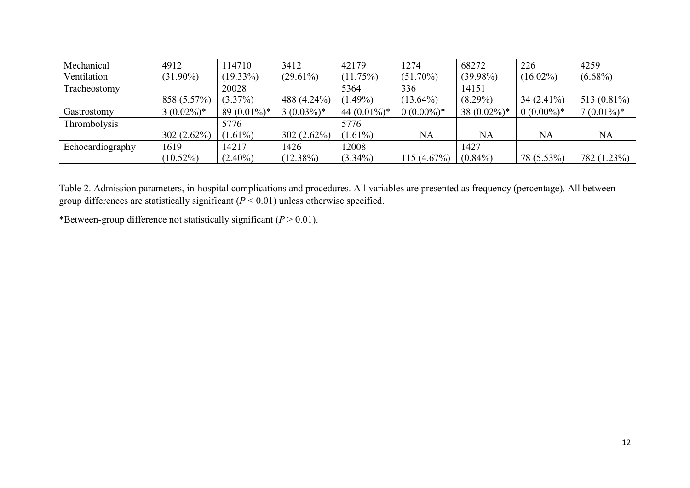| Mechanical       | 4912          | 114710        | 3412         | 42179          | 1274         | 68272           | 226          | 4259           |
|------------------|---------------|---------------|--------------|----------------|--------------|-----------------|--------------|----------------|
| Ventilation      | $(31.90\%)$   | $(19.33\%)$   | $(29.61\%)$  | (11.75%)       | $(51.70\%)$  | $(39.98\%)$     | $(16.02\%)$  | $(6.68\%)$     |
| Tracheostomy     |               | 20028         |              | 5364           | 336          | 14151           |              |                |
|                  | 858 (5.57%)   | $(3.37\%)$    | 488 (4.24%)  | $(1.49\%)$     | $(13.64\%)$  | $(8.29\%)$      | $34(2.41\%)$ | 513 $(0.81\%)$ |
| Gastrostomy      | $3(0.02\%)*$  | $89(0.01\%)*$ | $3(0.03\%)*$ | 44 $(0.01\%)*$ | $0(0.00\%)*$ | 38 $(0.02\%)$ * | $0(0.00\%)*$ | $7(0.01\%)*$   |
| Thrombolysis     |               | 5776          |              | 5776           |              |                 |              |                |
|                  | $302(2.62\%)$ | $(1.61\%)$    | 302(2.62%)   | $(1.61\%)$     | NA           | NA              | <b>NA</b>    | <b>NA</b>      |
| Echocardiography | 1619          | 14217         | 1426         | 12008          |              | 1427            |              |                |
|                  | $(10.52\%)$   | $(2.40\%)$    | $(12.38\%)$  | $(3.34\%)$     | 115(4.67%)   | $(0.84\%)$      | 78 (5.53%)   | 782 (1.23%)    |

Table 2. Admission parameters, in-hospital complications and procedures. All variables are presented as frequency (percentage). All betweengroup differences are statistically significant (*P* < 0.01) unless otherwise specified.

\*Between-group difference not statistically significant  $(P > 0.01)$ .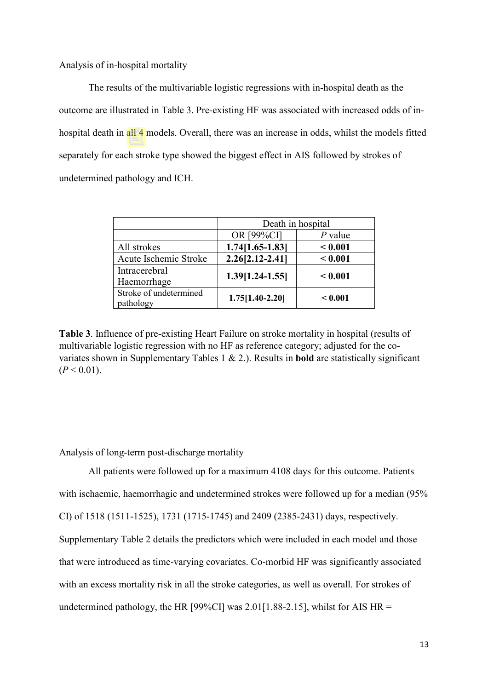Analysis of in-hospital mortality

The results of the multivariable logistic regressions with in-hospital death as the outcome are illustrated in Table 3. Pre-existing HF was associated with increased odds of inhospital death in all 4 models. Overall, there was an increase in odds, whilst the models fitted separately for each stroke type showed the biggest effect in AIS followed by strokes of undetermined pathology and ICH.

|                        | Death in hospital   |           |  |  |  |
|------------------------|---------------------|-----------|--|--|--|
|                        | OR [99%CI]          | $P$ value |  |  |  |
| All strokes            | $1.74[1.65-1.83]$   | < 0.001   |  |  |  |
| Acute Ischemic Stroke  | $2.26[2.12 - 2.41]$ | < 0.001   |  |  |  |
| Intracerebral          |                     |           |  |  |  |
| Haemorrhage            | 1.39[1.24-1.55]     | < 0.001   |  |  |  |
| Stroke of undetermined | $1.75[1.40-2.20]$   | < 0.001   |  |  |  |
| pathology              |                     |           |  |  |  |

**Table 3**. Influence of pre-existing Heart Failure on stroke mortality in hospital (results of multivariable logistic regression with no HF as reference category; adjusted for the covariates shown in Supplementary Tables 1 & 2.). Results in **bold** are statistically significant  $(P < 0.01)$ .

Analysis of long-term post-discharge mortality

All patients were followed up for a maximum 4108 days for this outcome. Patients with ischaemic, haemorrhagic and undetermined strokes were followed up for a median (95% CI) of 1518 (1511-1525), 1731 (1715-1745) and 2409 (2385-2431) days, respectively. Supplementary Table 2 details the predictors which were included in each model and those that were introduced as time-varying covariates. Co-morbid HF was significantly associated with an excess mortality risk in all the stroke categories, as well as overall. For strokes of undetermined pathology, the HR [99%CI] was 2.01[1.88-2.15], whilst for AIS HR =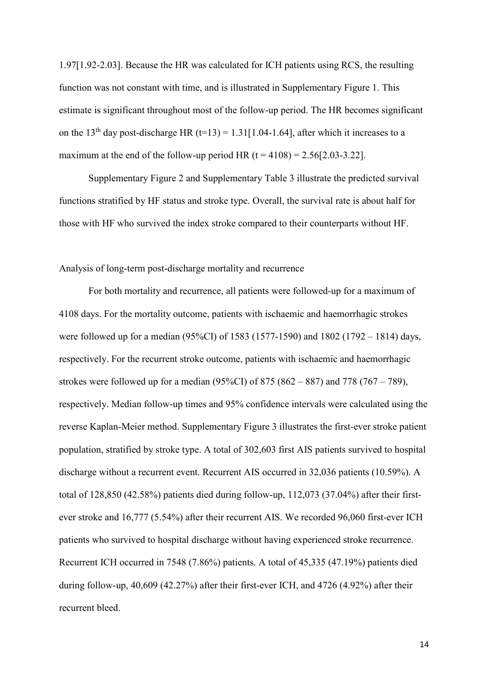1.97[1.92-2.03]. Because the HR was calculated for ICH patients using RCS, the resulting function was not constant with time, and is illustrated in Supplementary Figure 1. This estimate is significant throughout most of the follow-up period. The HR becomes significant on the 13<sup>th</sup> day post-discharge HR (t=13) = 1.31[1.04-1.64], after which it increases to a maximum at the end of the follow-up period HR  $(t = 4108) = 2.56[2.03-3.22]$ .

Supplementary Figure 2 and Supplementary Table 3 illustrate the predicted survival functions stratified by HF status and stroke type. Overall, the survival rate is about half for those with HF who survived the index stroke compared to their counterparts without HF.

#### Analysis of long-term post-discharge mortality and recurrence

For both mortality and recurrence, all patients were followed-up for a maximum of 4108 days. For the mortality outcome, patients with ischaemic and haemorrhagic strokes were followed up for a median (95%CI) of 1583 (1577-1590) and 1802 (1792 – 1814) days, respectively. For the recurrent stroke outcome, patients with ischaemic and haemorrhagic strokes were followed up for a median  $(95\%CI)$  of 875  $(862 - 887)$  and 778  $(767 - 789)$ , respectively. Median follow-up times and 95% confidence intervals were calculated using the reverse Kaplan-Meier method. Supplementary Figure 3 illustrates the first-ever stroke patient population, stratified by stroke type. A total of 302,603 first AIS patients survived to hospital discharge without a recurrent event. Recurrent AIS occurred in 32,036 patients (10.59%). A total of 128,850 (42.58%) patients died during follow-up, 112,073 (37.04%) after their firstever stroke and 16,777 (5.54%) after their recurrent AIS. We recorded 96,060 first-ever ICH patients who survived to hospital discharge without having experienced stroke recurrence. Recurrent ICH occurred in 7548 (7.86%) patients. A total of 45,335 (47.19%) patients died during follow-up, 40,609 (42.27%) after their first-ever ICH, and 4726 (4.92%) after their recurrent bleed.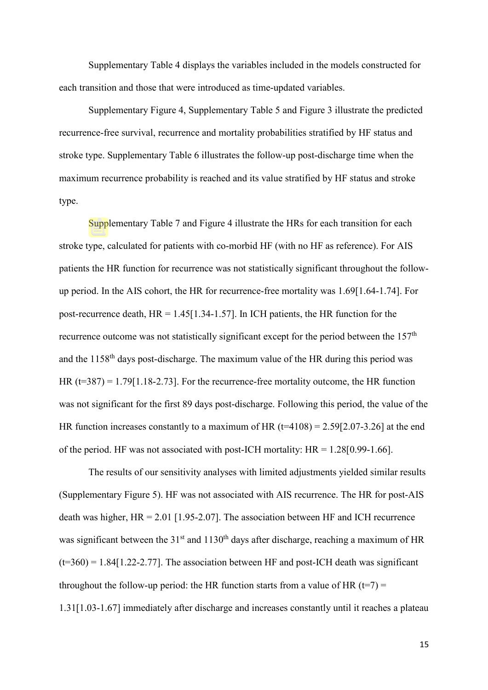Supplementary Table 4 displays the variables included in the models constructed for each transition and those that were introduced as time-updated variables.

Supplementary Figure 4, Supplementary Table 5 and Figure 3 illustrate the predicted recurrence-free survival, recurrence and mortality probabilities stratified by HF status and stroke type. Supplementary Table 6 illustrates the follow-up post-discharge time when the maximum recurrence probability is reached and its value stratified by HF status and stroke type.

Supplementary Table 7 and Figure 4 illustrate the HRs for each transition for each stroke type, calculated for patients with co-morbid HF (with no HF as reference). For AIS patients the HR function for recurrence was not statistically significant throughout the followup period. In the AIS cohort, the HR for recurrence-free mortality was 1.69[1.64-1.74]. For post-recurrence death, HR = 1.45[1.34-1.57]. In ICH patients, the HR function for the recurrence outcome was not statistically significant except for the period between the  $157<sup>th</sup>$ and the 1158th days post-discharge. The maximum value of the HR during this period was HR  $(t=387) = 1.79[1.18-2.73]$ . For the recurrence-free mortality outcome, the HR function was not significant for the first 89 days post-discharge. Following this period, the value of the HR function increases constantly to a maximum of HR  $(t=4108) = 2.59[2.07-3.26]$  at the end of the period. HF was not associated with post-ICH mortality: HR = 1.28[0.99-1.66].

The results of our sensitivity analyses with limited adjustments yielded similar results (Supplementary Figure 5). HF was not associated with AIS recurrence. The HR for post-AIS death was higher,  $HR = 2.01$  [1.95-2.07]. The association between HF and ICH recurrence was significant between the  $31<sup>st</sup>$  and  $1130<sup>th</sup>$  days after discharge, reaching a maximum of HR  $(t=360) = 1.84[1.22-2.77]$ . The association between HF and post-ICH death was significant throughout the follow-up period: the HR function starts from a value of HR ( $t=7$ ) = 1.31[1.03-1.67] immediately after discharge and increases constantly until it reaches a plateau

15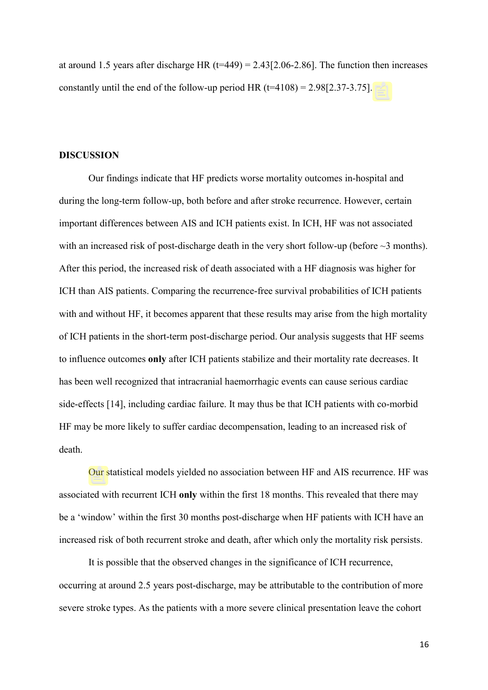at around 1.5 years after discharge HR  $(t=449) = 2.43[2.06-2.86]$ . The function then increases constantly until the end of the follow-up period HR  $(t=4108) = 2.98[2.37-3.75]$ .

#### **DISCUSSION**

Our findings indicate that HF predicts worse mortality outcomes in-hospital and during the long-term follow-up, both before and after stroke recurrence. However, certain important differences between AIS and ICH patients exist. In ICH, HF was not associated with an increased risk of post-discharge death in the very short follow-up (before  $\sim$ 3 months). After this period, the increased risk of death associated with a HF diagnosis was higher for ICH than AIS patients. Comparing the recurrence-free survival probabilities of ICH patients with and without HF, it becomes apparent that these results may arise from the high mortality of ICH patients in the short-term post-discharge period. Our analysis suggests that HF seems to influence outcomes **only** after ICH patients stabilize and their mortality rate decreases. It has been well recognized that intracranial haemorrhagic events can cause serious cardiac side-effects [14], including cardiac failure. It may thus be that ICH patients with co-morbid HF may be more likely to suffer cardiac decompensation, leading to an increased risk of death.

Our statistical models yielded no association between HF and AIS recurrence. HF was associated with recurrent ICH **only** within the first 18 months. This revealed that there may be a 'window' within the first 30 months post-discharge when HF patients with ICH have an increased risk of both recurrent stroke and death, after which only the mortality risk persists.

It is possible that the observed changes in the significance of ICH recurrence, occurring at around 2.5 years post-discharge, may be attributable to the contribution of more severe stroke types. As the patients with a more severe clinical presentation leave the cohort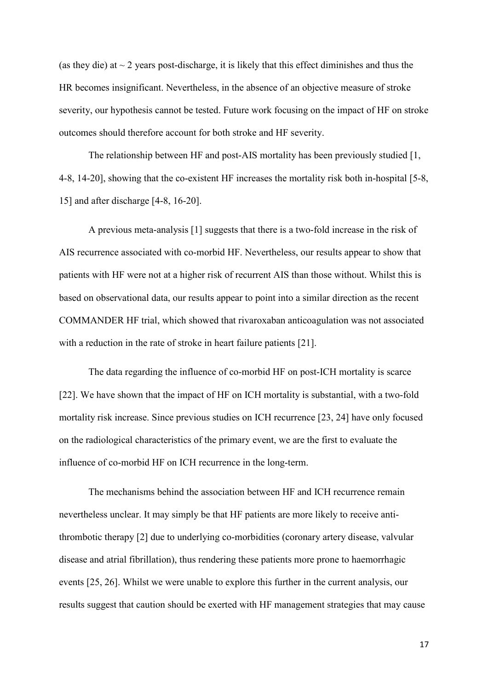(as they die) at  $\sim$  2 years post-discharge, it is likely that this effect diminishes and thus the HR becomes insignificant. Nevertheless, in the absence of an objective measure of stroke severity, our hypothesis cannot be tested. Future work focusing on the impact of HF on stroke outcomes should therefore account for both stroke and HF severity.

The relationship between HF and post-AIS mortality has been previously studied [1, 4-8, 14-20], showing that the co-existent HF increases the mortality risk both in-hospital [5-8, 15] and after discharge [4-8, 16-20].

A previous meta-analysis [1] suggests that there is a two-fold increase in the risk of AIS recurrence associated with co-morbid HF. Nevertheless, our results appear to show that patients with HF were not at a higher risk of recurrent AIS than those without. Whilst this is based on observational data, our results appear to point into a similar direction as the recent COMMANDER HF trial, which showed that rivaroxaban anticoagulation was not associated with a reduction in the rate of stroke in heart failure patients [21].

The data regarding the influence of co-morbid HF on post-ICH mortality is scarce [22]. We have shown that the impact of HF on ICH mortality is substantial, with a two-fold mortality risk increase. Since previous studies on ICH recurrence [23, 24] have only focused on the radiological characteristics of the primary event, we are the first to evaluate the influence of co-morbid HF on ICH recurrence in the long-term.

The mechanisms behind the association between HF and ICH recurrence remain nevertheless unclear. It may simply be that HF patients are more likely to receive antithrombotic therapy [2] due to underlying co-morbidities (coronary artery disease, valvular disease and atrial fibrillation), thus rendering these patients more prone to haemorrhagic events [25, 26]. Whilst we were unable to explore this further in the current analysis, our results suggest that caution should be exerted with HF management strategies that may cause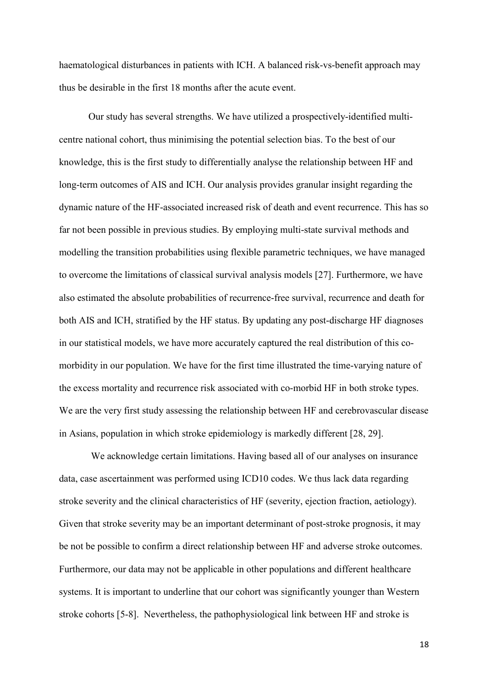haematological disturbances in patients with ICH. A balanced risk-vs-benefit approach may thus be desirable in the first 18 months after the acute event.

Our study has several strengths. We have utilized a prospectively-identified multicentre national cohort, thus minimising the potential selection bias. To the best of our knowledge, this is the first study to differentially analyse the relationship between HF and long-term outcomes of AIS and ICH. Our analysis provides granular insight regarding the dynamic nature of the HF-associated increased risk of death and event recurrence. This has so far not been possible in previous studies. By employing multi-state survival methods and modelling the transition probabilities using flexible parametric techniques, we have managed to overcome the limitations of classical survival analysis models [27]. Furthermore, we have also estimated the absolute probabilities of recurrence-free survival, recurrence and death for both AIS and ICH, stratified by the HF status. By updating any post-discharge HF diagnoses in our statistical models, we have more accurately captured the real distribution of this comorbidity in our population. We have for the first time illustrated the time-varying nature of the excess mortality and recurrence risk associated with co-morbid HF in both stroke types. We are the very first study assessing the relationship between HF and cerebrovascular disease in Asians, population in which stroke epidemiology is markedly different [28, 29].

We acknowledge certain limitations. Having based all of our analyses on insurance data, case ascertainment was performed using ICD10 codes. We thus lack data regarding stroke severity and the clinical characteristics of HF (severity, ejection fraction, aetiology). Given that stroke severity may be an important determinant of post-stroke prognosis, it may be not be possible to confirm a direct relationship between HF and adverse stroke outcomes. Furthermore, our data may not be applicable in other populations and different healthcare systems. It is important to underline that our cohort was significantly younger than Western stroke cohorts [5-8]. Nevertheless, the pathophysiological link between HF and stroke is

18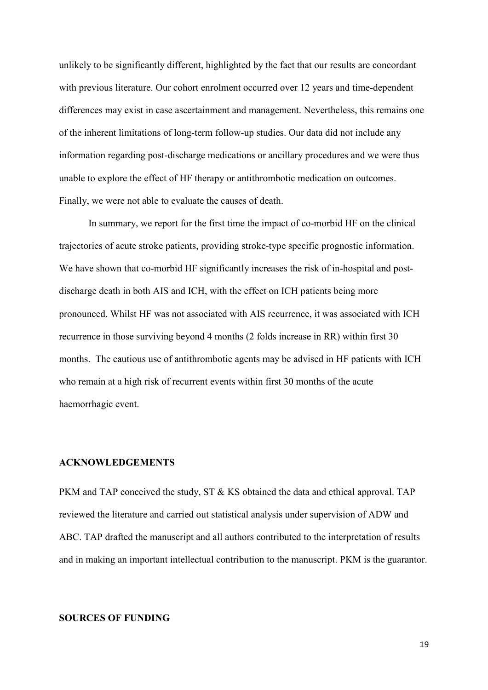unlikely to be significantly different, highlighted by the fact that our results are concordant with previous literature. Our cohort enrolment occurred over 12 years and time-dependent differences may exist in case ascertainment and management. Nevertheless, this remains one of the inherent limitations of long-term follow-up studies. Our data did not include any information regarding post-discharge medications or ancillary procedures and we were thus unable to explore the effect of HF therapy or antithrombotic medication on outcomes. Finally, we were not able to evaluate the causes of death.

In summary, we report for the first time the impact of co-morbid HF on the clinical trajectories of acute stroke patients, providing stroke-type specific prognostic information. We have shown that co-morbid HF significantly increases the risk of in-hospital and postdischarge death in both AIS and ICH, with the effect on ICH patients being more pronounced. Whilst HF was not associated with AIS recurrence, it was associated with ICH recurrence in those surviving beyond 4 months (2 folds increase in RR) within first 30 months. The cautious use of antithrombotic agents may be advised in HF patients with ICH who remain at a high risk of recurrent events within first 30 months of the acute haemorrhagic event.

#### **ACKNOWLEDGEMENTS**

PKM and TAP conceived the study, ST & KS obtained the data and ethical approval. TAP reviewed the literature and carried out statistical analysis under supervision of ADW and ABC. TAP drafted the manuscript and all authors contributed to the interpretation of results and in making an important intellectual contribution to the manuscript. PKM is the guarantor.

#### **SOURCES OF FUNDING**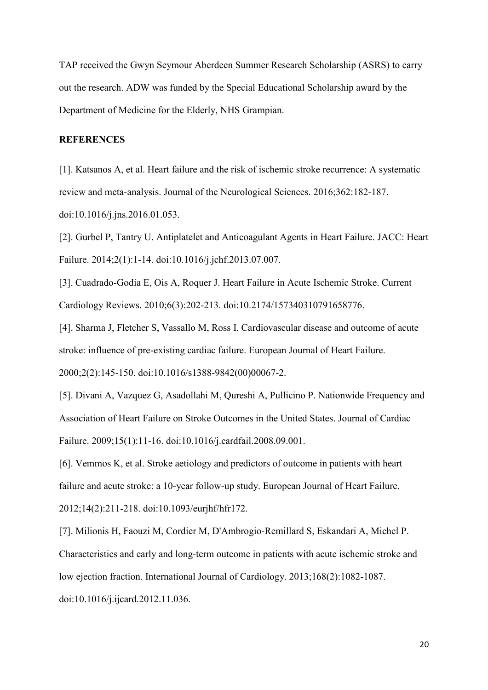TAP received the Gwyn Seymour Aberdeen Summer Research Scholarship (ASRS) to carry out the research. ADW was funded by the Special Educational Scholarship award by the Department of Medicine for the Elderly, NHS Grampian.

# **REFERENCES**

[1]. Katsanos A, et al. Heart failure and the risk of ischemic stroke recurrence: A systematic review and meta-analysis. Journal of the Neurological Sciences. 2016;362:182-187. doi:10.1016/j.jns.2016.01.053.

[2]. Gurbel P, Tantry U. Antiplatelet and Anticoagulant Agents in Heart Failure. JACC: Heart Failure. 2014;2(1):1-14. doi:10.1016/j.jchf.2013.07.007.

[3]. Cuadrado-Godia E, Ois A, Roquer J. Heart Failure in Acute Ischemic Stroke. Current Cardiology Reviews. 2010;6(3):202-213. doi:10.2174/157340310791658776.

[4]. Sharma J, Fletcher S, Vassallo M, Ross I. Cardiovascular disease and outcome of acute stroke: influence of pre-existing cardiac failure. European Journal of Heart Failure.

2000;2(2):145-150. doi:10.1016/s1388-9842(00)00067-2.

[5]. Divani A, Vazquez G, Asadollahi M, Qureshi A, Pullicino P. Nationwide Frequency and Association of Heart Failure on Stroke Outcomes in the United States. Journal of Cardiac Failure. 2009;15(1):11-16. doi:10.1016/j.cardfail.2008.09.001.

[6]. Vemmos K, et al. Stroke aetiology and predictors of outcome in patients with heart failure and acute stroke: a 10-year follow-up study. European Journal of Heart Failure. 2012;14(2):211-218. doi:10.1093/eurjhf/hfr172.

[7]. Milionis H, Faouzi M, Cordier M, D'Ambrogio-Remillard S, Eskandari A, Michel P. Characteristics and early and long-term outcome in patients with acute ischemic stroke and low ejection fraction. International Journal of Cardiology. 2013;168(2):1082-1087. doi:10.1016/j.ijcard.2012.11.036.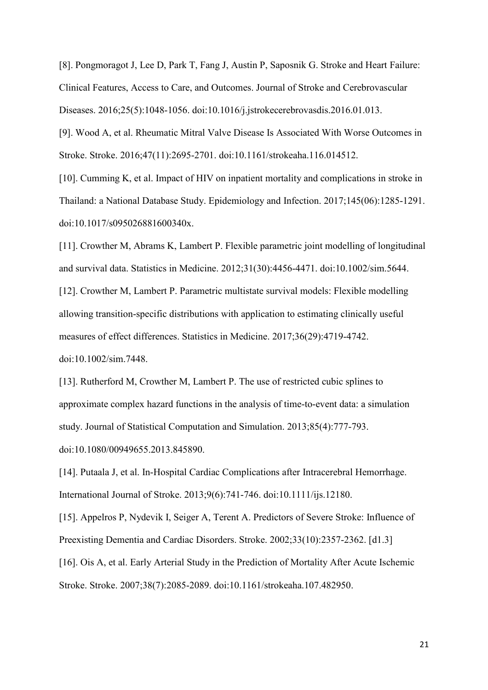[8]. Pongmoragot J, Lee D, Park T, Fang J, Austin P, Saposnik G. Stroke and Heart Failure: Clinical Features, Access to Care, and Outcomes. Journal of Stroke and Cerebrovascular Diseases. 2016;25(5):1048-1056. doi:10.1016/j.jstrokecerebrovasdis.2016.01.013.

[9]. Wood A, et al. Rheumatic Mitral Valve Disease Is Associated With Worse Outcomes in Stroke. Stroke. 2016;47(11):2695-2701. doi:10.1161/strokeaha.116.014512.

[10]. Cumming K, et al. Impact of HIV on inpatient mortality and complications in stroke in Thailand: a National Database Study. Epidemiology and Infection. 2017;145(06):1285-1291. doi:10.1017/s095026881600340x.

[11]. Crowther M, Abrams K, Lambert P. Flexible parametric joint modelling of longitudinal and survival data. Statistics in Medicine. 2012;31(30):4456-4471. doi:10.1002/sim.5644. [12]. Crowther M, Lambert P. Parametric multistate survival models: Flexible modelling allowing transition-specific distributions with application to estimating clinically useful measures of effect differences. Statistics in Medicine. 2017;36(29):4719-4742. doi:10.1002/sim.7448.

[13]. Rutherford M, Crowther M, Lambert P. The use of restricted cubic splines to approximate complex hazard functions in the analysis of time-to-event data: a simulation study. Journal of Statistical Computation and Simulation. 2013;85(4):777-793. doi:10.1080/00949655.2013.845890.

[14]. Putaala J, et al. In-Hospital Cardiac Complications after Intracerebral Hemorrhage. International Journal of Stroke. 2013;9(6):741-746. doi:10.1111/ijs.12180.

[15]. Appelros P, Nydevik I, Seiger A, Terent A. Predictors of Severe Stroke: Influence of Preexisting Dementia and Cardiac Disorders. Stroke. 2002;33(10):2357-2362. [d1.3] [16]. Ois A, et al. Early Arterial Study in the Prediction of Mortality After Acute Ischemic Stroke. Stroke. 2007;38(7):2085-2089. doi:10.1161/strokeaha.107.482950.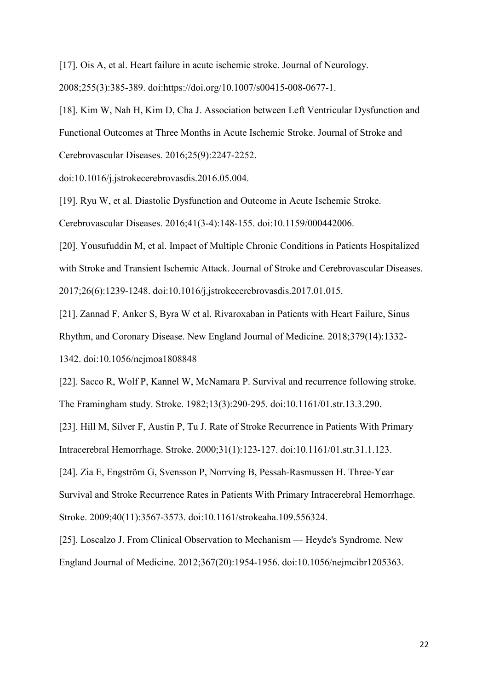[17]. Ois A, et al. Heart failure in acute ischemic stroke. Journal of Neurology. 2008;255(3):385-389. doi:https://doi.org/10.1007/s00415-008-0677-1.

[18]. Kim W, Nah H, Kim D, Cha J. Association between Left Ventricular Dysfunction and Functional Outcomes at Three Months in Acute Ischemic Stroke. Journal of Stroke and Cerebrovascular Diseases. 2016;25(9):2247-2252.

doi:10.1016/j.jstrokecerebrovasdis.2016.05.004.

[19]. Ryu W, et al. Diastolic Dysfunction and Outcome in Acute Ischemic Stroke.

Cerebrovascular Diseases. 2016;41(3-4):148-155. doi:10.1159/000442006.

[20]. Yousufuddin M, et al. Impact of Multiple Chronic Conditions in Patients Hospitalized with Stroke and Transient Ischemic Attack. Journal of Stroke and Cerebrovascular Diseases. 2017;26(6):1239-1248. doi:10.1016/j.jstrokecerebrovasdis.2017.01.015.

[21]. Zannad F, Anker S, Byra W et al. Rivaroxaban in Patients with Heart Failure, Sinus

Rhythm, and Coronary Disease. New England Journal of Medicine. 2018;379(14):1332-

1342. doi:10.1056/nejmoa1808848

[22]. Sacco R, Wolf P, Kannel W, McNamara P. Survival and recurrence following stroke. The Framingham study. Stroke. 1982;13(3):290-295. doi:10.1161/01.str.13.3.290.

[23]. Hill M, Silver F, Austin P, Tu J. Rate of Stroke Recurrence in Patients With Primary Intracerebral Hemorrhage. Stroke. 2000;31(1):123-127. doi:10.1161/01.str.31.1.123.

[24]. Zia E, Engström G, Svensson P, Norrving B, Pessah-Rasmussen H. Three-Year Survival and Stroke Recurrence Rates in Patients With Primary Intracerebral Hemorrhage. Stroke. 2009;40(11):3567-3573. doi:10.1161/strokeaha.109.556324.

[25]. Loscalzo J. From Clinical Observation to Mechanism — Heyde's Syndrome. New England Journal of Medicine. 2012;367(20):1954-1956. doi:10.1056/nejmcibr1205363.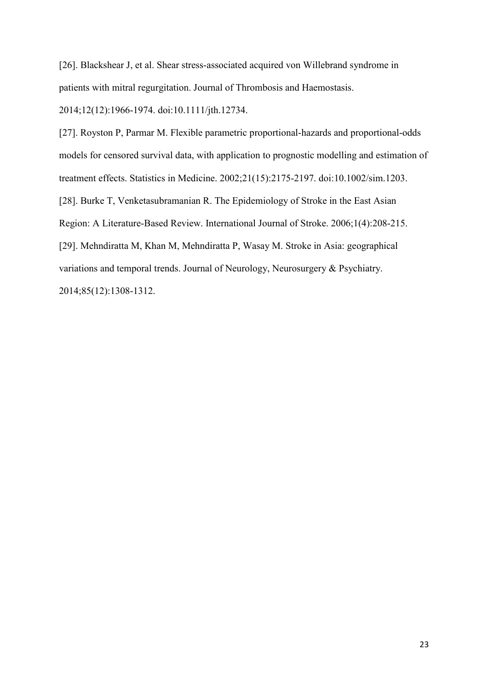[26]. Blackshear J, et al. Shear stress-associated acquired von Willebrand syndrome in patients with mitral regurgitation. Journal of Thrombosis and Haemostasis.

2014;12(12):1966-1974. doi:10.1111/jth.12734.

[27]. Royston P, Parmar M. Flexible parametric proportional-hazards and proportional-odds models for censored survival data, with application to prognostic modelling and estimation of treatment effects. Statistics in Medicine. 2002;21(15):2175-2197. doi:10.1002/sim.1203. [28]. Burke T, Venketasubramanian R. The Epidemiology of Stroke in the East Asian Region: A Literature-Based Review. International Journal of Stroke. 2006;1(4):208-215. [29]. Mehndiratta M, Khan M, Mehndiratta P, Wasay M. Stroke in Asia: geographical variations and temporal trends. Journal of Neurology, Neurosurgery & Psychiatry. 2014;85(12):1308-1312.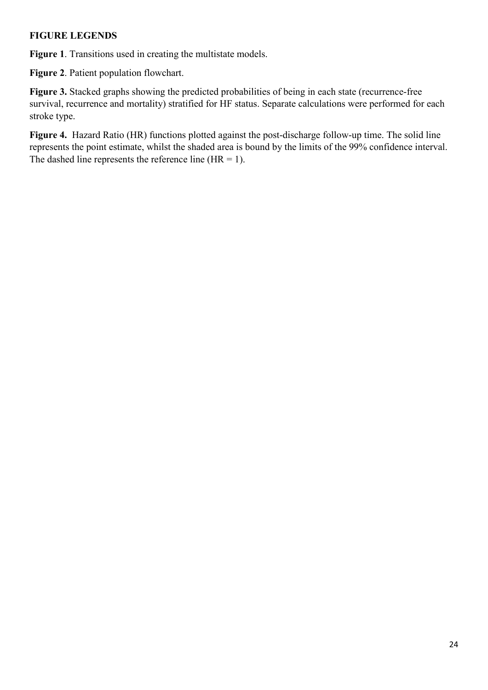# **FIGURE LEGENDS**

**Figure 1**. Transitions used in creating the multistate models.

**Figure 2**. Patient population flowchart.

**Figure 3.** Stacked graphs showing the predicted probabilities of being in each state (recurrence-free survival, recurrence and mortality) stratified for HF status. Separate calculations were performed for each stroke type.

**Figure 4.** Hazard Ratio (HR) functions plotted against the post-discharge follow-up time. The solid line represents the point estimate, whilst the shaded area is bound by the limits of the 99% confidence interval. The dashed line represents the reference line  $(HR = 1)$ .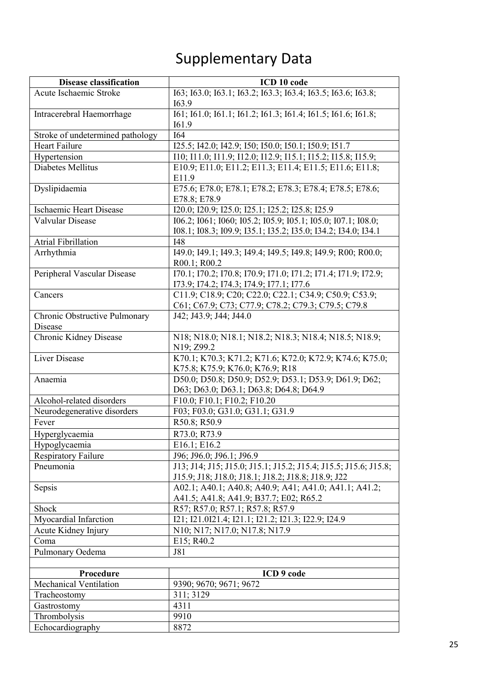# Supplementary Data

| <b>Disease classification</b>            | ICD 10 code                                                                                                             |
|------------------------------------------|-------------------------------------------------------------------------------------------------------------------------|
| Acute Ischaemic Stroke                   | 163; 163.0; 163.1; 163.2; 163.3; 163.4; 163.5; 163.6; 163.8;                                                            |
|                                          | 163.9                                                                                                                   |
| Intracerebral Haemorrhage                | I61; I61.0; I61.1; I61.2; I61.3; I61.4; I61.5; I61.6; I61.8;                                                            |
|                                          | I61.9                                                                                                                   |
| Stroke of undetermined pathology         | <b>I64</b>                                                                                                              |
| <b>Heart Failure</b>                     | I25.5; I42.0; I42.9; I50; I50.0; I50.1; I50.9; I51.7                                                                    |
| Hypertension<br>Diabetes Mellitus        | I10; I11.0; I11.9; I12.0; I12.9; I15.1; I15.2; I15.8; I15.9;<br>E10.9; E11.0; E11.2; E11.3; E11.4; E11.5; E11.6; E11.8; |
|                                          | E11.9                                                                                                                   |
| Dyslipidaemia                            | E75.6; E78.0; E78.1; E78.2; E78.3; E78.4; E78.5; E78.6;                                                                 |
|                                          | E78.8; E78.9                                                                                                            |
| <b>Ischaemic Heart Disease</b>           | I20.0; I20.9; I25.0; I25.1; I25.2; I25.8; I25.9                                                                         |
| Valvular Disease                         | I06.2; I061; I060; I05.2; I05.9; I05.1; I05.0; I07.1; I08.0;                                                            |
|                                          | 108.1; 108.3; 109.9; 135.1; 135.2; 135.0; 134.2; 134.0; 134.1                                                           |
| <b>Atrial Fibrillation</b>               | <b>I48</b>                                                                                                              |
| Arrhythmia                               | I49.0; I49.1; I49.3; I49.4; I49.5; I49.8; I49.9; R00; R00.0;                                                            |
|                                          | R00.1; R00.2                                                                                                            |
| Peripheral Vascular Disease              | I70.1; I70.2; I70.8; I70.9; I71.0; I71.2; I71.4; I71.9; I72.9;                                                          |
|                                          | 173.9; 174.2; 174.3; 174.9; 177.1; 177.6                                                                                |
| Cancers                                  | C11.9; C18.9; C20; C22.0; C22.1; C34.9; C50.9; C53.9;                                                                   |
|                                          | C61; C67.9; C73; C77.9; C78.2; C79.3; C79.5; C79.8                                                                      |
| Chronic Obstructive Pulmonary<br>Disease | J42; J43.9; J44; J44.0                                                                                                  |
| Chronic Kidney Disease                   | N18; N18.0; N18.1; N18.2; N18.3; N18.4; N18.5; N18.9;                                                                   |
|                                          | N19; Z99.2                                                                                                              |
| <b>Liver Disease</b>                     | K70.1; K70.3; K71.2; K71.6; K72.0; K72.9; K74.6; K75.0;                                                                 |
|                                          | K75.8; K75.9; K76.0; K76.9; R18                                                                                         |
| Anaemia                                  | D50.0; D50.8; D50.9; D52.9; D53.1; D53.9; D61.9; D62;                                                                   |
|                                          | D63; D63.0; D63.1; D63.8; D64.8; D64.9                                                                                  |
| Alcohol-related disorders                | F10.0; F10.1; F10.2; F10.20                                                                                             |
| Neurodegenerative disorders              | F03; F03.0; G31.0; G31.1; G31.9                                                                                         |
| Fever                                    | R50.8; R50.9                                                                                                            |
| Hyperglycaemia                           | R73.0; R73.9                                                                                                            |
| Hypoglycaemia                            | E16.1; E16.2                                                                                                            |
| <b>Respiratory Failure</b>               | J96; J96.0; J96.1; J96.9                                                                                                |
| Pneumonia                                | J13; J14; J15; J15.0; J15.1; J15.2; J15.4; J15.5; J15.6; J15.8;                                                         |
| Sepsis                                   | J15.9; J18; J18.0; J18.1; J18.2; J18.8; J18.9; J22<br>A02.1; A40.1; A40.8; A40.9; A41; A41.0; A41.1; A41.2;             |
|                                          | A41.5; A41.8; A41.9; B37.7; E02; R65.2                                                                                  |
| Shock                                    | R57; R57.0; R57.1; R57.8; R57.9                                                                                         |
| Myocardial Infarction                    | 121; 121.0121.4; 121.1; 121.2; 121.3; 122.9; 124.9                                                                      |
| Acute Kidney Injury                      | N10; N17; N17.0; N17.8; N17.9                                                                                           |
| Coma                                     | E15; R40.2                                                                                                              |
| Pulmonary Oedema                         | <b>J81</b>                                                                                                              |
|                                          |                                                                                                                         |
| Procedure                                | ICD 9 code                                                                                                              |
| Mechanical Ventilation                   | 9390; 9670; 9671; 9672                                                                                                  |
| Tracheostomy                             | 311; 3129                                                                                                               |
| Gastrostomy                              | 4311                                                                                                                    |
| Thrombolysis                             | 9910                                                                                                                    |
| Echocardiography                         | 8872                                                                                                                    |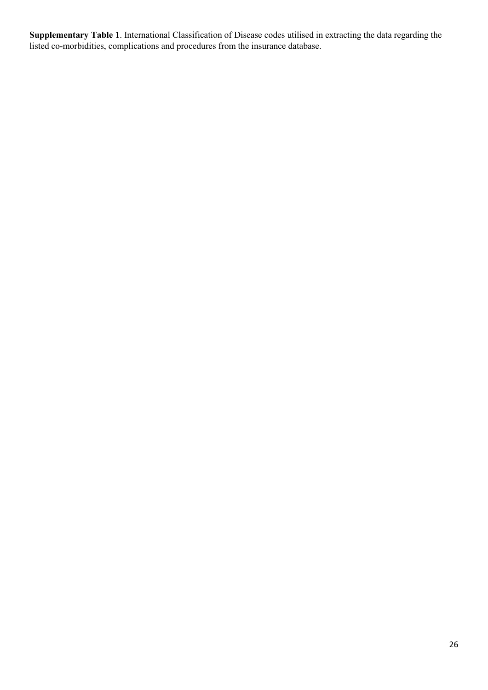**Supplementary Table 1**. International Classification of Disease codes utilised in extracting the data regarding the listed co-morbidities, complications and procedures from the insurance database.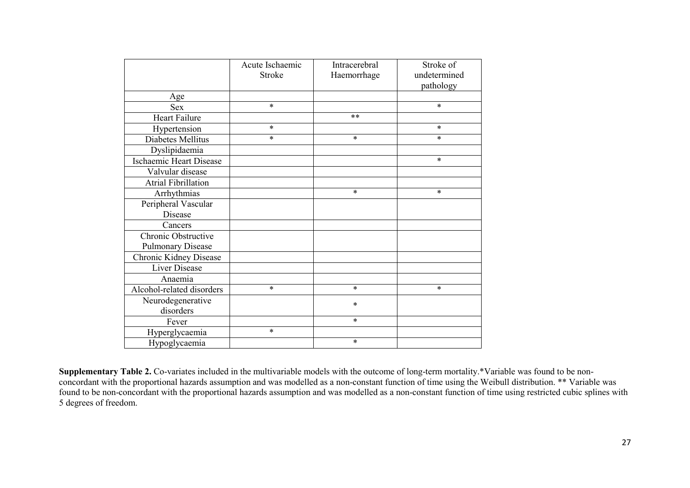|                            | Acute Ischaemic<br>Stroke | Intracerebral<br>Haemorrhage | Stroke of<br>undetermined<br>pathology |
|----------------------------|---------------------------|------------------------------|----------------------------------------|
| Age                        |                           |                              |                                        |
| Sex                        | $\ast$                    |                              | $\ast$                                 |
| Heart Failure              |                           | **                           |                                        |
| Hypertension               | $\ast$                    |                              | $\ast$                                 |
| Diabetes Mellitus          | $\ast$                    | $\ast$                       | $\ast$                                 |
| Dyslipidaemia              |                           |                              |                                        |
| Ischaemic Heart Disease    |                           |                              | *                                      |
| Valvular disease           |                           |                              |                                        |
| <b>Atrial Fibrillation</b> |                           |                              |                                        |
| Arrhythmias                |                           | $\ast$                       | $\ast$                                 |
| Peripheral Vascular        |                           |                              |                                        |
| Disease                    |                           |                              |                                        |
| Cancers                    |                           |                              |                                        |
| Chronic Obstructive        |                           |                              |                                        |
| <b>Pulmonary Disease</b>   |                           |                              |                                        |
| Chronic Kidney Disease     |                           |                              |                                        |
| <b>Liver Disease</b>       |                           |                              |                                        |
| Anaemia                    |                           |                              |                                        |
| Alcohol-related disorders  | $\ast$                    | $\ast$                       | $\ast$                                 |
| Neurodegenerative          |                           | $\ast$                       |                                        |
| disorders                  |                           |                              |                                        |
| Fever                      |                           | $\ast$                       |                                        |
| Hyperglycaemia             | $\ast$                    |                              |                                        |
| Hypoglycaemia              |                           | $\ast$                       |                                        |

**Supplementary Table 2.** Co-variates included in the multivariable models with the outcome of long-term mortality.\*Variable was found to be nonconcordant with the proportional hazards assumption and was modelled as a non-constant function of time using the Weibull distribution. \*\* Variable was found to be non-concordant with the proportional hazards assumption and was modelled as a non-constant function of time using restricted cubic splines with 5 degrees of freedom.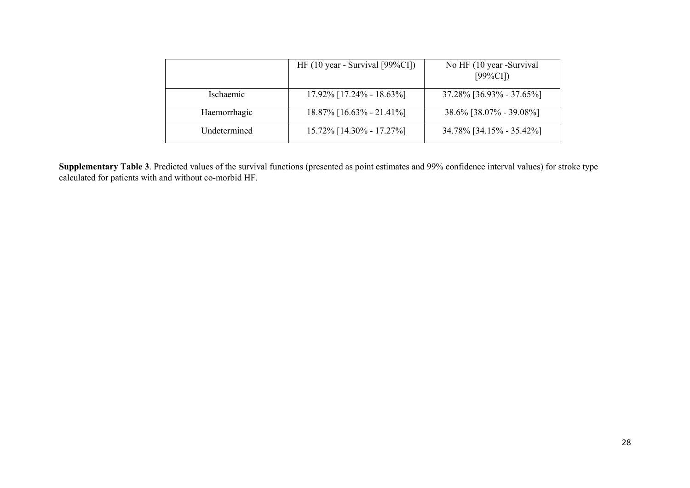|                     | HF $(10 \text{ year} - \text{Survival}$ [99%CI]) | No HF (10 year -Survival<br>[99%CI] |
|---------------------|--------------------------------------------------|-------------------------------------|
| <i>s</i> chaemic    | $17.92\%$ [17.24% - 18.63%]                      | $37.28\%$ [36.93% - 37.65%]         |
| Haemorrhagic        | $18.87\%$ [16.63\% - 21.41\%]                    | $38.6\%$ [38.07% - 39.08%]          |
| <b>Undetermined</b> | $15.72\%$ [14.30% - 17.27%]                      | 34.78% [34.15% - 35.42%]            |

**Supplementary Table 3**. Predicted values of the survival functions (presented as point estimates and 99% confidence interval values) for stroke type calculated for patients with and without co-morbid HF.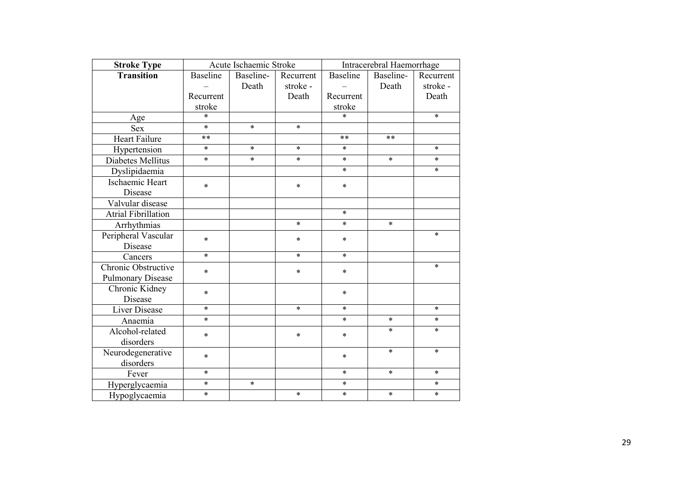| <b>Stroke Type</b>         |                 | Acute Ischaemic Stroke |           |                 | Intracerebral Haemorrhage |           |
|----------------------------|-----------------|------------------------|-----------|-----------------|---------------------------|-----------|
| Transition                 | <b>Baseline</b> | Baseline-              | Recurrent | <b>Baseline</b> | Baseline-                 | Recurrent |
|                            |                 | Death                  | stroke-   |                 | Death                     | stroke-   |
|                            | Recurrent       |                        | Death     | Recurrent       |                           | Death     |
|                            | stroke          |                        |           | stroke          |                           |           |
| Age                        | *               |                        |           | $\ast$          |                           | $\ast$    |
| <b>Sex</b>                 | $\ast$          | $\ast$                 | $\ast$    |                 |                           |           |
| <b>Heart Failure</b>       | $***$           |                        |           | **              | **                        |           |
| Hypertension               | $\ast$          | $\ast$                 | $\ast$    | $\ast$          |                           | $\ast$    |
| Diabetes Mellitus          | $\ast$          | $\ast$                 | $\ast$    | $\ast$          | $\ast$                    | $\ast$    |
| Dyslipidaemia              |                 |                        |           | $\ast$          |                           | $\ast$    |
| Ischaemic Heart            | $\ast$          |                        | $\ast$    | $\ast$          |                           |           |
| Disease                    |                 |                        |           |                 |                           |           |
| Valvular disease           |                 |                        |           |                 |                           |           |
| <b>Atrial Fibrillation</b> |                 |                        |           | $\ast$          |                           |           |
| Arrhythmias                |                 |                        | $\ast$    | $\ast$          | $\ast$                    |           |
| Peripheral Vascular        | $\ast$          |                        | $\ast$    | $\ast$          |                           | $\ast$    |
| Disease                    |                 |                        |           |                 |                           |           |
| Cancers                    | $\ast$          |                        | $\ast$    | $\ast$          |                           |           |
| Chronic Obstructive        | $\ast$          |                        | *         | $\ast$          |                           | $\ast$    |
| <b>Pulmonary Disease</b>   |                 |                        |           |                 |                           |           |
| Chronic Kidney             | *               |                        |           | $\ast$          |                           |           |
| Disease                    |                 |                        |           |                 |                           |           |
| Liver Disease              | $\ast$          |                        | $\ast$    | $\ast$          |                           | $\ast$    |
| Anaemia                    | $\ast$          |                        |           | $\ast$          | $\ast$                    | $\ast$    |
| Alcohol-related            | $\ast$          |                        | $\ast$    | $\ast$          | $\ast$                    | $\ast$    |
| disorders                  |                 |                        |           |                 |                           |           |
| Neurodegenerative          | $\ast$          |                        |           | $\ast$          | $\ast$                    | $\ast$    |
| disorders                  |                 |                        |           |                 |                           |           |
| Fever                      | $\ast$          |                        |           | $\ast$          | $\ast$                    | $\ast$    |
| Hyperglycaemia             | $\ast$          | $\ast$                 |           | $\ast$          |                           | $\ast$    |
| Hypoglycaemia              | $\ast$          |                        | $\ast$    | $\ast$          | $\ast$                    | $\ast$    |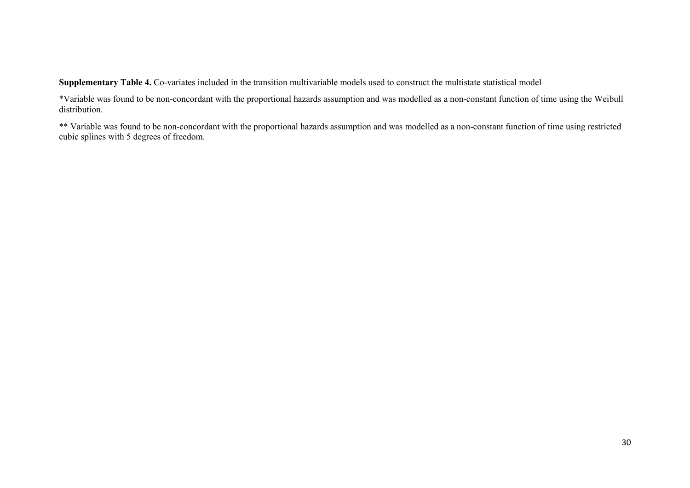**Supplementary Table 4.** Co-variates included in the transition multivariable models used to construct the multistate statistical model

\*Variable was found to be non-concordant with the proportional hazards assumption and was modelled as a non-constant function of time using the Weibull distribution.

\*\* Variable was found to be non-concordant with the proportional hazards assumption and was modelled as a non-constant function of time using restricted cubic splines with 5 degrees of freedom.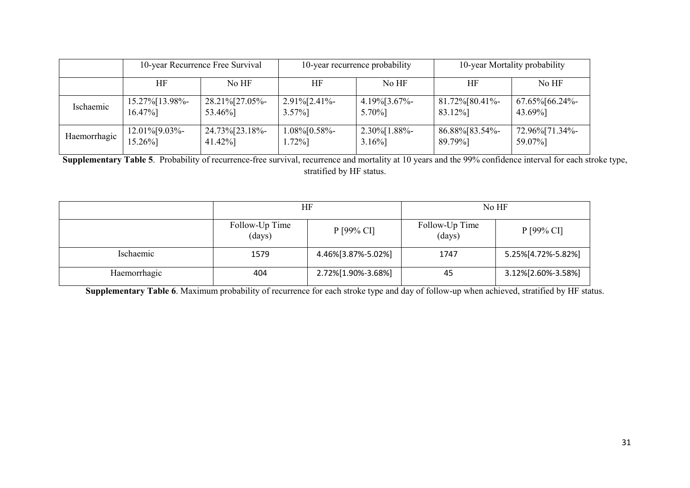|              |                   | 10-year Recurrence Free Survival | 10-year recurrence probability |                  | 10-year Mortality probability |                    |
|--------------|-------------------|----------------------------------|--------------------------------|------------------|-------------------------------|--------------------|
|              | HF                | No HF                            | HF                             | No HF            | HF                            | No HF              |
| Ischaemic    | 15.27% [13.98%-   | 28.21%[27.05%-                   | $2.91\%$ [2.41%-               | $4.19\%$ [3.67%- | 81.72%[80.41%-                | $67.65\%$ [66.24%- |
|              | 16.47%]           | 53.46%]                          | $3.57\%$ ]                     | 5.70%]           | 83.12%]                       | 43.69%]            |
| Haemorrhagic | $12.01\%$ [9.03%- | 24.73%[23.18%-                   | $1.08\%$ [0.58%-               | $2.30\%$ [1.88%- | 86.88%[83.54%-                | 72.96%[71.34%-     |
|              | 15.26%]           | 41.42%]                          | $1.72\%$ ]                     | $3.16\%$         | 89.79%]                       | 59.07%]            |

**Supplementary Table 5**. Probability of recurrence-free survival, recurrence and mortality at 10 years and the 99% confidence interval for each stroke type, stratified by HF status.

|              | ΗF                       |                    | No HF                    |                    |  |
|--------------|--------------------------|--------------------|--------------------------|--------------------|--|
|              | Follow-Up Time<br>(days) | P [99% CI]         | Follow-Up Time<br>(days) | $P$ [99% CI]       |  |
| Ischaemic    | 1579                     | 4.46%[3.87%-5.02%] | 1747                     | 5.25%[4.72%-5.82%] |  |
| Haemorrhagic | 404                      | 2.72%[1.90%-3.68%] | 45                       | 3.12%[2.60%-3.58%] |  |

**Supplementary Table 6**. Maximum probability of recurrence for each stroke type and day of follow-up when achieved, stratified by HF status.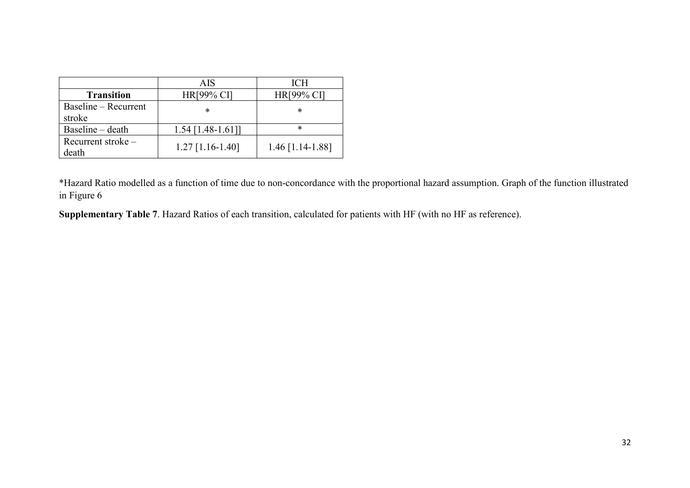|                      | <b>AIS</b>          | <b>ICH</b>         |
|----------------------|---------------------|--------------------|
| <b>Transition</b>    | HR[99% CI]          | <b>HR[99% CI]</b>  |
| Baseline – Recurrent | *                   | *                  |
| stroke               |                     |                    |
| Baseline – death     | $1.54$ [1.48-1.61]] | *                  |
| Recurrent stroke $-$ | $1.27$ [1.16-1.40]  | $1.46$ [1.14-1.88] |
| death                |                     |                    |

\*Hazard Ratio modelled as a function of time due to non-concordance with the proportional hazard assumption. Graph of the function illustrated in Figure 6

**Supplementary Table 7**. Hazard Ratios of each transition, calculated for patients with HF (with no HF as reference).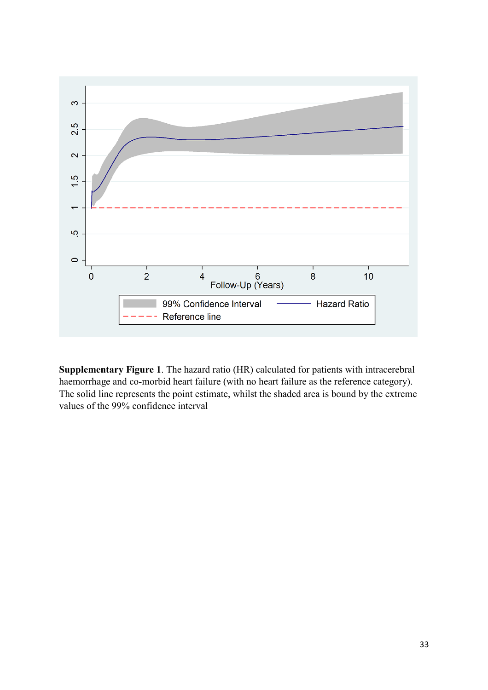

**Supplementary Figure 1**. The hazard ratio (HR) calculated for patients with intracerebral haemorrhage and co-morbid heart failure (with no heart failure as the reference category). The solid line represents the point estimate, whilst the shaded area is bound by the extreme values of the 99% confidence interval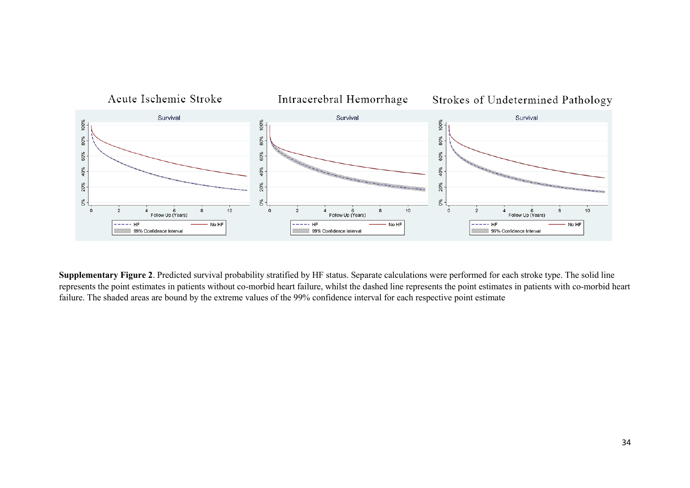

**Supplementary Figure 2**. Predicted survival probability stratified by HF status. Separate calculations were performed for each stroke type. The solid line represents the point estimates in patients without co-morbid heart failure, whilst the dashed line represents the point estimates in patients with co-morbid heart failure. The shaded areas are bound by the extreme values of the 99% confidence interval for each respective point estimate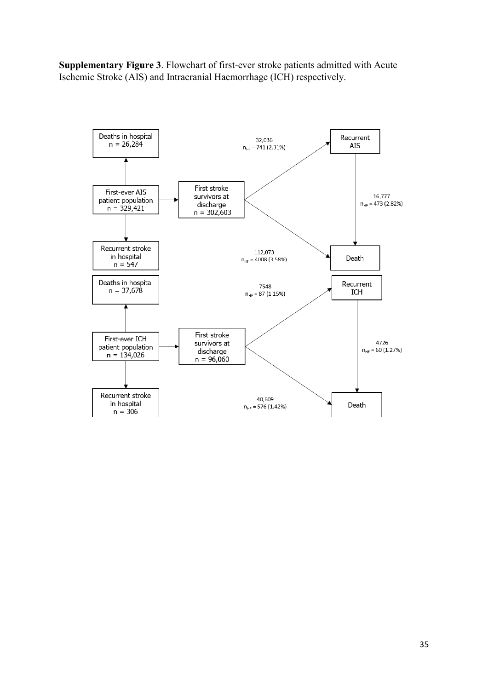**Supplementary Figure 3**. Flowchart of first-ever stroke patients admitted with Acute Ischemic Stroke (AIS) and Intracranial Haemorrhage (ICH) respectively.

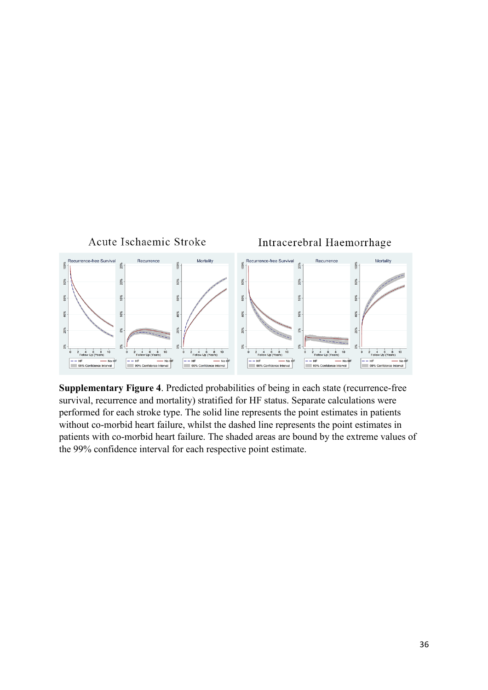

**Supplementary Figure 4**. Predicted probabilities of being in each state (recurrence-free survival, recurrence and mortality) stratified for HF status. Separate calculations were performed for each stroke type. The solid line represents the point estimates in patients without co-morbid heart failure, whilst the dashed line represents the point estimates in patients with co-morbid heart failure. The shaded areas are bound by the extreme values of the 99% confidence interval for each respective point estimate.